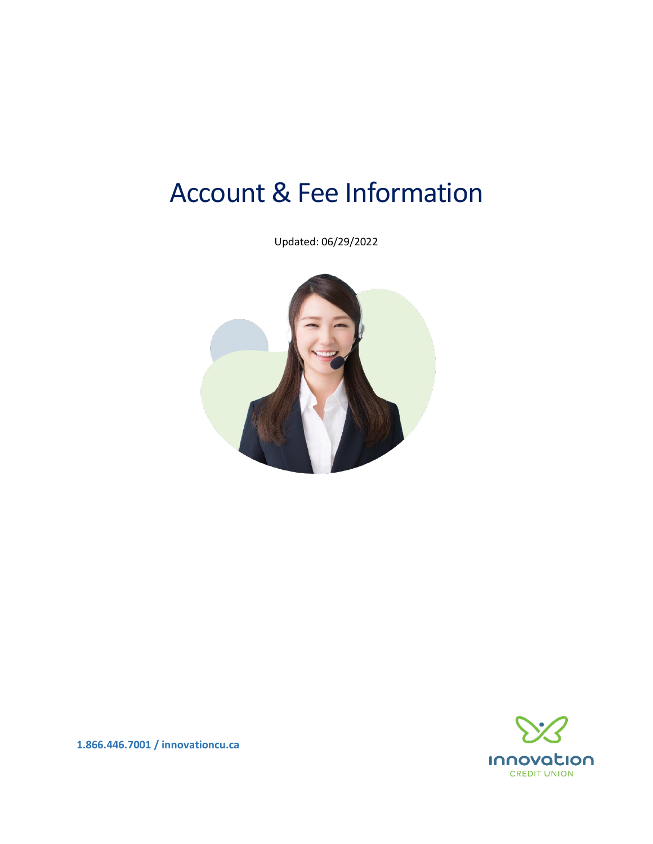# Account & Fee Information

Updated: 06/29/2022





**1.866.446.7001 / innovationcu.ca**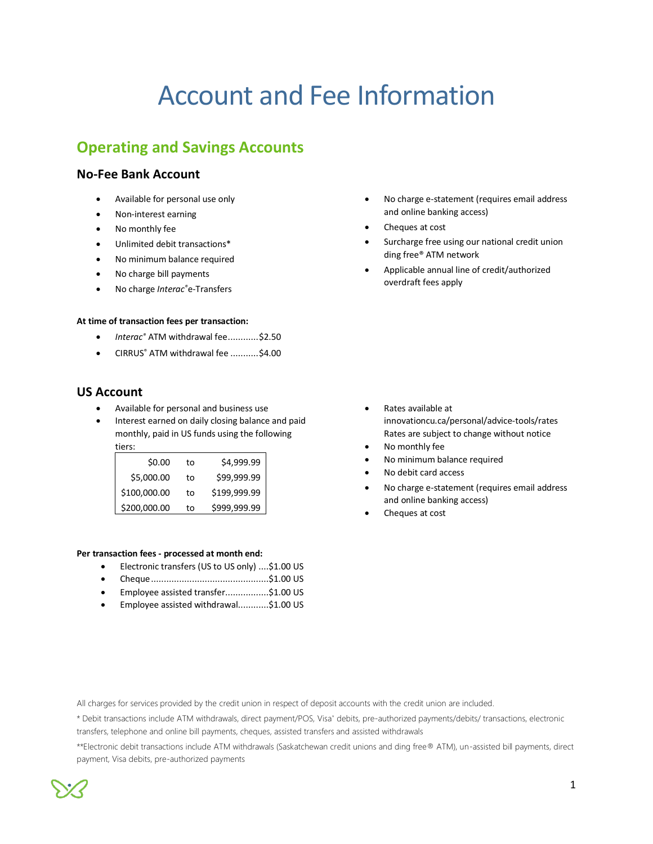# Account and Fee Information

# **Operating and Savings Accounts**

# **No-Fee Bank Account**

- Available for personal use only
- Non-interest earning
- No monthly fee
- Unlimited debit transactions\*
- No minimum balance required
- No charge bill payments
- No charge *Interac®*e-Transfers

#### **At time of transaction fees per transaction:**

- *Interac®* ATM withdrawal fee............\$2.50
- CIRRUS® ATM withdrawal fee ...........\$4.00

# **US Account**

- Available for personal and business use
- Interest earned on daily closing balance and paid monthly, paid in US funds using the following tiers:

| .            |    |              |
|--------------|----|--------------|
| \$0.00       | to | \$4,999.99   |
| \$5,000.00   | to | \$99,999.99  |
| \$100,000.00 | to | \$199,999.99 |
| \$200,000.00 | to | \$999,999.99 |

#### **Per transaction fees - processed at month end:**

- Electronic transfers (US to US only) ....\$1.00 US
- Cheque..............................................\$1.00 US
- Employee assisted transfer.................\$1.00 US
- Employee assisted withdrawal............\$1.00 US
- No charge e-statement (requires email address and online banking access)
- Cheques at cost
- Surcharge free using our national credit union ding free® ATM network
- Applicable annual line of credit/authorized overdraft fees apply

- Rates available at innovationcu.ca/personal/advice-tools/rates Rates are subject to change without notice
- No monthly fee
- No minimum balance required
- No debit card access
- No charge e-statement (requires email address and online banking access)
- Cheques at cost

All charges for services provided by the credit union in respect of deposit accounts with the credit union are included.

\* Debit transactions include ATM withdrawals, direct payment/POS, Visa\* debits, pre-authorized payments/debits/ transactions, electronic transfers, telephone and online bill payments, cheques, assisted transfers and assisted withdrawals

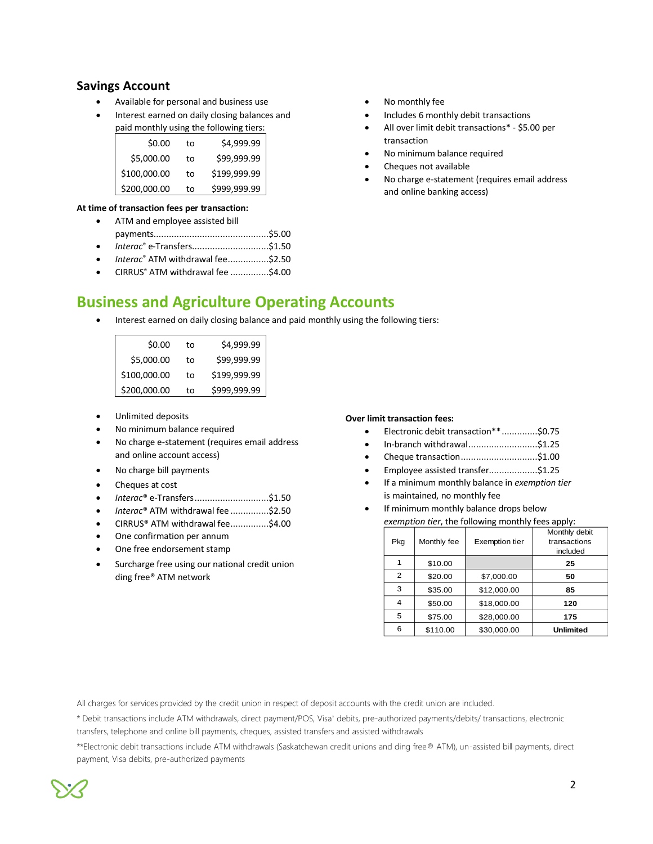# **Savings Account**

- Available for personal and business use
- Interest earned on daily closing balances and paid monthly using the following tiers:

| \$0.00       | to | \$4,999.99   |
|--------------|----|--------------|
| \$5,000.00   | to | \$99,999.99  |
| \$100,000.00 | to | \$199,999.99 |
| \$200,000.00 | to | \$999,999.99 |

#### **At time of transaction fees per transaction:**

- ATM and employee assisted bill payments.............................................\$5.00 • *Interac*® e-Transfers..............................\$1.50
- *Interac*® ATM withdrawal fee................\$2.50
- CIRRUS® ATM withdrawal fee ...............\$4.00
- No monthly fee
- Includes 6 monthly debit transactions
- All over limit debit transactions\* \$5.00 per transaction
- No minimum balance required
- Cheques not available
- No charge e-statement (requires email address and online banking access)

# **Business and Agriculture Operating Accounts**

Interest earned on daily closing balance and paid monthly using the following tiers:

| \$0.00       | to | \$4,999.99   |
|--------------|----|--------------|
| \$5,000.00   | to | \$99,999.99  |
| \$100,000.00 | to | \$199,999.99 |
| \$200,000.00 | to | \$999,999.99 |

- Unlimited deposits
- No minimum balance required
- No charge e-statement (requires email address and online account access)
- No charge bill payments
- Cheques at cost
- *Interac*® e-Transfers.............................\$1.50
- *Interac*® ATM withdrawal fee ...............\$2.50
- CIRRUS® ATM withdrawal fee...............\$4.00
- One confirmation per annum
- One free endorsement stamp
- Surcharge free using our national credit union ding free® ATM network

#### **Over limit transaction fees:**

- Electronic debit transaction\*\*..............\$0.75
- In-branch withdrawal...........................\$1.25
- Cheque transaction..............................\$1.00
- Employee assisted transfer...................\$1.25
- If a minimum monthly balance in *exemption tier* is maintained, no monthly fee
- If minimum monthly balance drops below *exemption tier*, the following monthly fees apply:

| Pkg            | Monthly fee | <b>Exemption tier</b> | Monthly debit<br>transactions |
|----------------|-------------|-----------------------|-------------------------------|
|                |             |                       | included                      |
| 1              | \$10.00     |                       | 25                            |
| $\overline{2}$ | \$20.00     | \$7,000.00            | 50                            |
| 3              | \$35.00     | \$12,000.00           | 85                            |
| 4              | \$50.00     | \$18,000.00           | 120                           |
| 5              | \$75.00     | \$28,000.00           | 175                           |
| 6              | \$110.00    | \$30,000.00           | <b>Unlimited</b>              |

All charges for services provided by the credit union in respect of deposit accounts with the credit union are included.

\* Debit transactions include ATM withdrawals, direct payment/POS, Visa\* debits, pre-authorized payments/debits/ transactions, electronic transfers, telephone and online bill payments, cheques, assisted transfers and assisted withdrawals

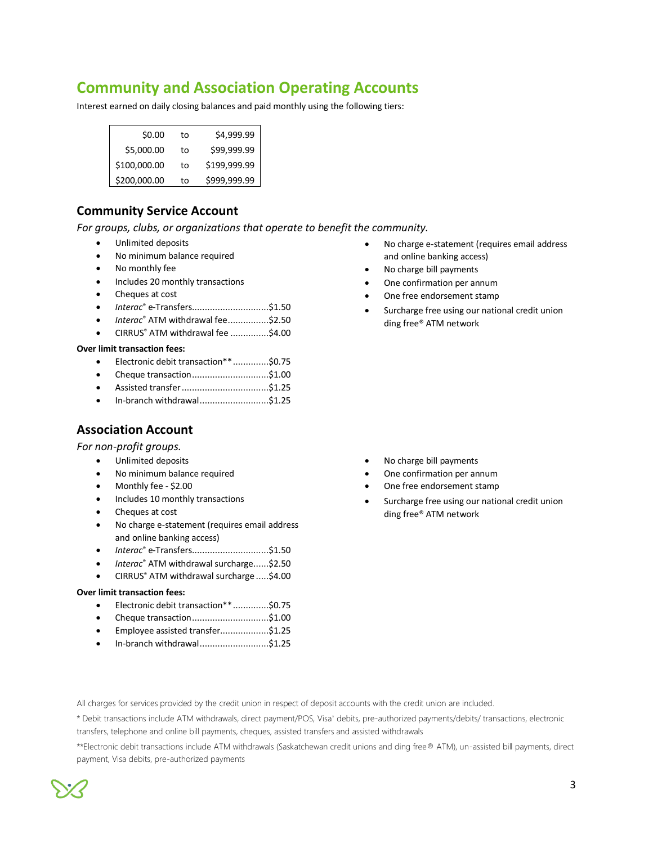# **Community and Association Operating Accounts**

Interest earned on daily closing balances and paid monthly using the following tiers:

| \$0.00       | t٥ | \$4,999.99   |
|--------------|----|--------------|
| \$5,000.00   | to | \$99,999.99  |
| \$100,000.00 | to | \$199,999.99 |
| \$200,000.00 | to | \$999,999.99 |

# **Community Service Account**

*For groups, clubs, or organizations that operate to benefit the community.* 

- Unlimited deposits
- No minimum balance required
- No monthly fee
- Includes 20 monthly transactions
- Cheques at cost
- *Interac*® e-Transfers..............................\$1.50
- *Interac*® ATM withdrawal fee................\$2.50
- CIRRUS® ATM withdrawal fee ...............\$4.00

#### **Over limit transaction fees:**

- Electronic debit transaction\*\*..............\$0.75
- Cheque transaction..............................\$1.00
- Assisted transfer..................................\$1.25
- In-branch withdrawal...........................\$1.25

# **Association Account**

*For non-profit groups.*

- Unlimited deposits
- No minimum balance required
- Monthly fee \$2.00
- Includes 10 monthly transactions
- Cheques at cost
- No charge e-statement (requires email address and online banking access)
- *Interac*® e-Transfers..............................\$1.50
- *Interac*® ATM withdrawal surcharge......\$2.50
- CIRRUS® ATM withdrawal surcharge .....\$4.00

#### **Over limit transaction fees:**

- Electronic debit transaction\*\*..............\$0.75
- Cheque transaction..............................\$1.00
- Employee assisted transfer...................\$1.25
- In-branch withdrawal...........................\$1.25
- No charge e-statement (requires email address and online banking access)
- No charge bill payments
- One confirmation per annum
- One free endorsement stamp
- Surcharge free using our national credit union ding free® ATM network

- No charge bill payments
- One confirmation per annum
- One free endorsement stamp
- Surcharge free using our national credit union ding free® ATM network

All charges for services provided by the credit union in respect of deposit accounts with the credit union are included.

\* Debit transactions include ATM withdrawals, direct payment/POS, Visa\* debits, pre-authorized payments/debits/ transactions, electronic transfers, telephone and online bill payments, cheques, assisted transfers and assisted withdrawals

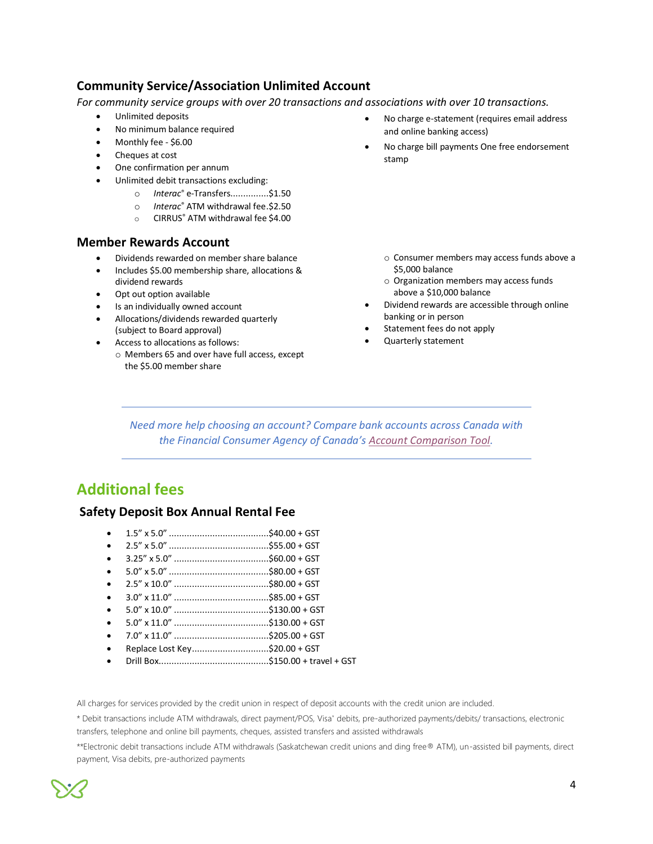# **Community Service/Association Unlimited Account**

*For community service groups with over 20 transactions and associations with over 10 transactions.* 

- Unlimited deposits
- No minimum balance required
- Monthly fee \$6.00
- Cheques at cost
- One confirmation per annum
- Unlimited debit transactions excluding:
	- o *Interac*® e-Transfers...............\$1.50
	- o *Interac*® ATM withdrawal fee.\$2.50
	- o CIRRUS® ATM withdrawal fee \$4.00

## **Member Rewards Account**

- Dividends rewarded on member share balance
- Includes \$5.00 membership share, allocations & dividend rewards
- Opt out option available • Is an individually owned account
- Allocations/dividends rewarded quarterly (subject to Board approval)
- Access to allocations as follows:
	- o Members 65 and over have full access, except the \$5.00 member share
- No charge e-statement (requires email address and online banking access)
- No charge bill payments One free endorsement stamp

- o Consumer members may access funds above a \$5,000 balance
- o Organization members may access funds above a \$10,000 balance
- Dividend rewards are accessible through online banking or in person
- Statement fees do not apply
- Quarterly statement

*Need more help choosing an account? Compare bank accounts across Canada with the Financial Consumer Agency of Canada's [Account Comparison Tool.](https://itools-ioutils.fcac-acfc.gc.ca/ACT-OCC/SearchFilter-eng.aspx)*

# **Additional fees**

# **Safety Deposit Box Annual Rental Fee**

- 1.5" x 5.0" .......................................\$40.00 + GST
- 2.5" x 5.0" .......................................\$55.00 + GST
- 3.25" x 5.0" .....................................\$60.00 + GST
- 5.0" x 5.0" .......................................\$80.00 + GST
- 2.5" x 10.0" .....................................\$80.00 + GST
- 3.0" x 11.0" .....................................\$85.00 + GST
- 5.0" x 10.0" .....................................\$130.00 + GST • 5.0" x 11.0" .....................................\$130.00 + GST
- 
- 7.0" x 11.0" .....................................\$205.00 + GST
- Replace Lost Key..............................\$20.00 + GST
- Drill Box...........................................\$150.00 + travel + GST

All charges for services provided by the credit union in respect of deposit accounts with the credit union are included.

\* Debit transactions include ATM withdrawals, direct payment/POS, Visa\* debits, pre-authorized payments/debits/ transactions, electronic transfers, telephone and online bill payments, cheques, assisted transfers and assisted withdrawals

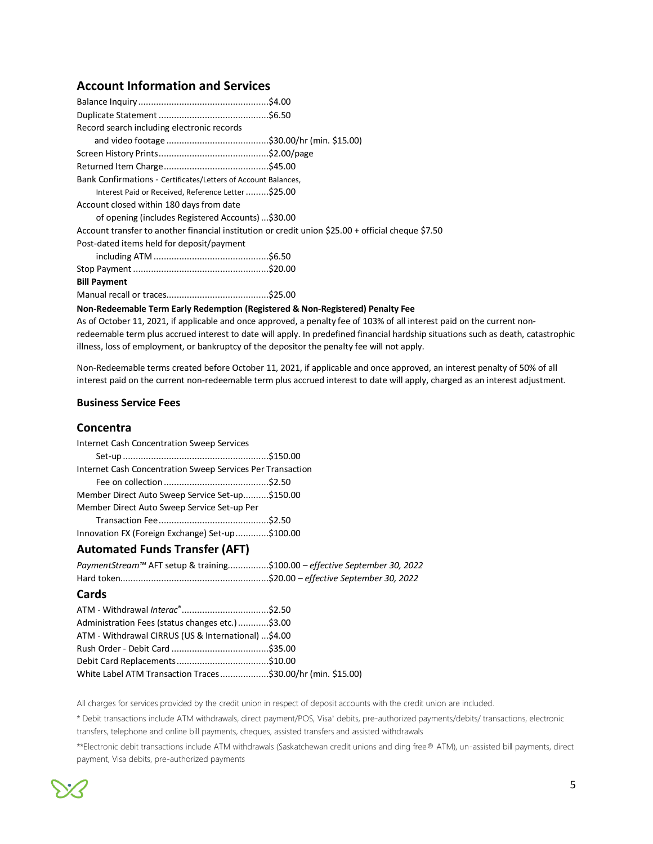# **Account Information and Services**

| Record search including electronic records                                                         |  |
|----------------------------------------------------------------------------------------------------|--|
|                                                                                                    |  |
|                                                                                                    |  |
|                                                                                                    |  |
| Bank Confirmations - Certificates/Letters of Account Balances,                                     |  |
| Interest Paid or Received, Reference Letter\$25.00                                                 |  |
| Account closed within 180 days from date                                                           |  |
| of opening (includes Registered Accounts)\$30.00                                                   |  |
| Account transfer to another financial institution or credit union \$25.00 + official cheque \$7.50 |  |
| Post-dated items held for deposit/payment                                                          |  |
|                                                                                                    |  |
|                                                                                                    |  |
| <b>Bill Payment</b>                                                                                |  |
|                                                                                                    |  |
| Non-Redeemable Term Early Redemption (Registered & Non-Registered) Penalty Fee                     |  |

As of October 11, 2021, if applicable and once approved, a penalty fee of 103% of all interest paid on the current nonredeemable term plus accrued interest to date will apply. In predefined financial hardship situations such as death, catastrophic illness, loss of employment, or bankruptcy of the depositor the penalty fee will not apply.

Non-Redeemable terms created before October 11, 2021, if applicable and once approved, an interest penalty of 50% of all interest paid on the current non-redeemable term plus accrued interest to date will apply, charged as an interest adjustment.

#### **Business Service Fees**

#### **Concentra**

| Internet Cash Concentration Sweep Services                 |  |
|------------------------------------------------------------|--|
|                                                            |  |
| Internet Cash Concentration Sweep Services Per Transaction |  |
|                                                            |  |
| Member Direct Auto Sweep Service Set-up\$150.00            |  |
| Member Direct Auto Sweep Service Set-up Per                |  |
|                                                            |  |
| Innovation FX (Foreign Exchange) Set-up\$100.00            |  |

#### **Automated Funds Transfer (AFT)**

| PaymentStream™ AFT setup & training\$100.00 - effective September 30, 2022 |  |
|----------------------------------------------------------------------------|--|
|                                                                            |  |
| Cards                                                                      |  |
|                                                                            |  |
| Administration Fees (status changes etc.)\$3.00                            |  |
| ATM - Withdrawal CIRRUS (US & International) \$4.00                        |  |
|                                                                            |  |
|                                                                            |  |
| White Label ATM Transaction Traces\$30.00/hr (min. \$15.00)                |  |

All charges for services provided by the credit union in respect of deposit accounts with the credit union are included.

\* Debit transactions include ATM withdrawals, direct payment/POS, Visa\* debits, pre-authorized payments/debits/ transactions, electronic transfers, telephone and online bill payments, cheques, assisted transfers and assisted withdrawals

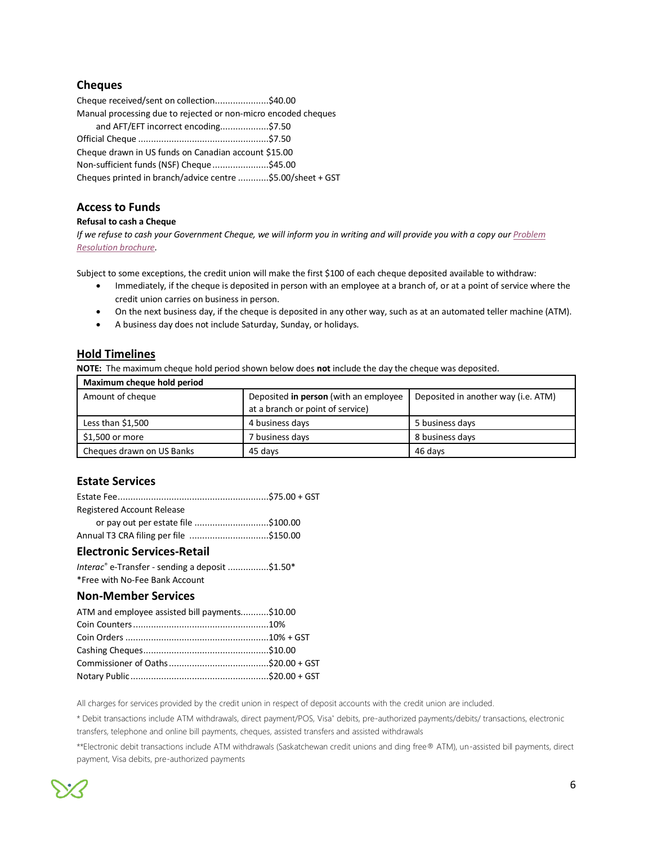# **Cheques**

| Cheque received/sent on collection\$40.00                      |  |
|----------------------------------------------------------------|--|
| Manual processing due to rejected or non-micro encoded cheques |  |
| and AFT/EFT incorrect encoding\$7.50                           |  |
|                                                                |  |
| Cheque drawn in US funds on Canadian account \$15.00           |  |
| Non-sufficient funds (NSF) Cheque \$45.00                      |  |
| Cheques printed in branch/advice centre \$5.00/sheet + GST     |  |

# **Access to Funds**

#### **Refusal to cash a Cheque**

*If we refuse to cash your Government Cheque, we will inform you in writing and will provide you with a copy our Problem [Resolution brochure.](https://www.innovationcu.ca/content/dam/innovationcu/en/resources/problem-resolution-brochure.pdf)*

Subject to some exceptions, the credit union will make the first \$100 of each cheque deposited available to withdraw:

- Immediately, if the cheque is deposited in person with an employee at a branch of, or at a point of service where the credit union carries on business in person.
- On the next business day, if the cheque is deposited in any other way, such as at an automated teller machine (ATM).
- A business day does not include Saturday, Sunday, or holidays.

#### **Hold Timelines**

**NOTE:** The maximum cheque hold period shown below does **not** include the day the cheque was deposited.

| Maximum cheque hold period |                                       |                                     |  |
|----------------------------|---------------------------------------|-------------------------------------|--|
| Amount of cheque           | Deposited in person (with an employee | Deposited in another way (i.e. ATM) |  |
|                            | at a branch or point of service)      |                                     |  |
| Less than $$1,500$         | 4 business days                       | 5 business days                     |  |
| \$1,500 or more            | 7 business days                       | 8 business days                     |  |
| Cheques drawn on US Banks  | 45 davs                               | 46 davs                             |  |

# **Estate Services**

| Registered Account Release             |  |
|----------------------------------------|--|
| or pay out per estate file \$100.00    |  |
| Annual T3 CRA filing per file \$150.00 |  |
| <b>Electronic Services-Retail</b>      |  |

```
Interac® e-Transfer - sending a deposit ................$1.50* 
*Free with No-Fee Bank Account
```
#### **Non-Member Services**

| ATM and employee assisted bill payments\$10.00 |  |
|------------------------------------------------|--|
|                                                |  |
|                                                |  |
|                                                |  |
|                                                |  |
|                                                |  |

All charges for services provided by the credit union in respect of deposit accounts with the credit union are included.

\* Debit transactions include ATM withdrawals, direct payment/POS, Visa\* debits, pre-authorized payments/debits/ transactions, electronic transfers, telephone and online bill payments, cheques, assisted transfers and assisted withdrawals

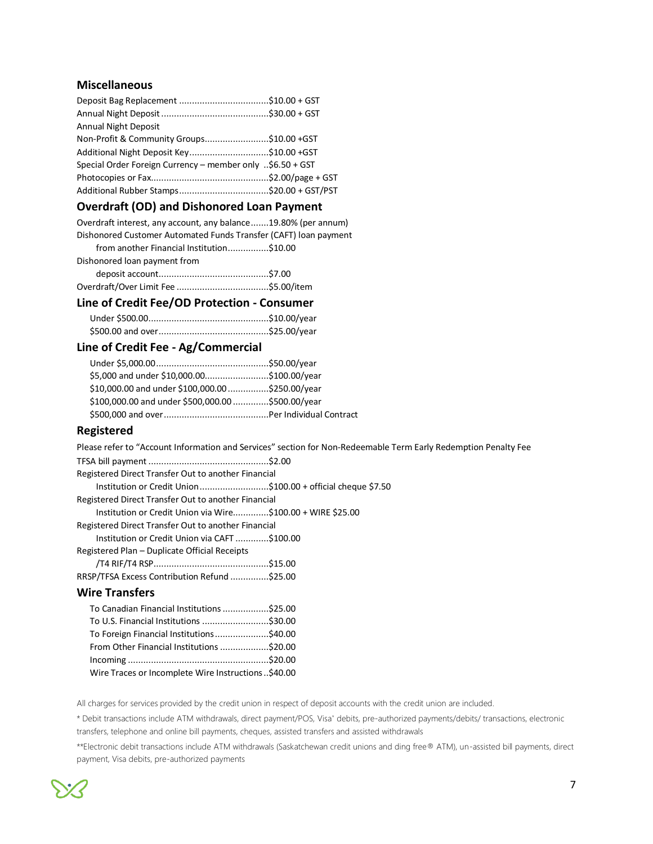## **Miscellaneous**

| <b>Annual Night Deposit</b>                               |  |
|-----------------------------------------------------------|--|
| Non-Profit & Community Groups\$10.00 + GST                |  |
| Additional Night Deposit Key\$10.00 +GST                  |  |
| Special Order Foreign Currency – member only \$6.50 + GST |  |
|                                                           |  |
|                                                           |  |

# **Overdraft (OD) and Dishonored Loan Payment**

| Overdraft interest, any account, any balance19.80% (per annum)   |  |
|------------------------------------------------------------------|--|
| Dishonored Customer Automated Funds Transfer (CAFT) loan payment |  |
| from another Financial Institution\$10.00                        |  |
| Dishonored loan payment from                                     |  |
|                                                                  |  |
|                                                                  |  |
|                                                                  |  |

#### **Line of Credit Fee/OD Protection - Consumer**

# **Line of Credit Fee - Ag/Commercial**

| \$5,000 and under \$10,000.00\$100.00/year        |
|---------------------------------------------------|
| \$10,000.00 and under \$100,000.00\$250.00/year   |
| \$100,000.00 and under \$500,000.00 \$500.00/year |
|                                                   |
|                                                   |

## **Registered**

Please refer to "Account Information and Services" section for Non-Redeemable Term Early Redemption Penalty Fee

| Registered Direct Transfer Out to another Financial          |
|--------------------------------------------------------------|
| Institution or Credit Union\$100.00 + official cheque \$7.50 |
| Registered Direct Transfer Out to another Financial          |
| Institution or Credit Union via Wire\$100.00 + WIRE \$25.00  |
| Registered Direct Transfer Out to another Financial          |
| Institution or Credit Union via CAFT \$100.00                |
| Registered Plan - Duplicate Official Receipts                |
|                                                              |
| RRSP/TFSA Excess Contribution Refund \$25.00                 |
| <b>Wire Transfers</b>                                        |
| To Canadian Financial Institutions \$25.00                   |

# To U.S. Financial Institutions ..........................\$30.00 To Foreign Financial Institutions.....................\$40.00 From Other Financial Institutions ...................\$20.00 Incoming .......................................................\$20.00 Wire Traces or Incomplete Wire Instructions..\$40.00

All charges for services provided by the credit union in respect of deposit accounts with the credit union are included.

\* Debit transactions include ATM withdrawals, direct payment/POS, Visa\* debits, pre-authorized payments/debits/ transactions, electronic transfers, telephone and online bill payments, cheques, assisted transfers and assisted withdrawals

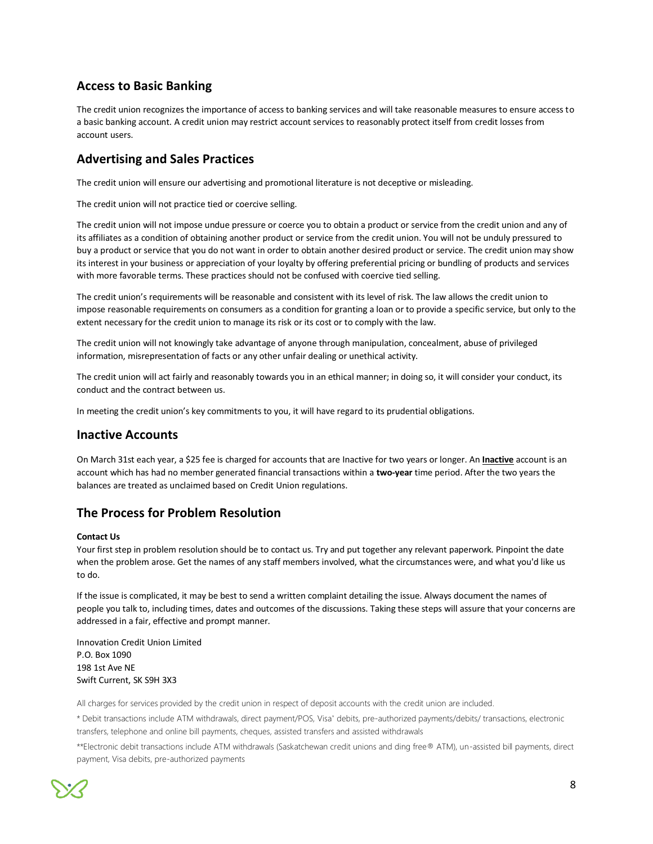# **Access to Basic Banking**

The credit union recognizes the importance of access to banking services and will take reasonable measures to ensure access to a basic banking account. A credit union may restrict account services to reasonably protect itself from credit losses from account users.

# **Advertising and Sales Practices**

The credit union will ensure our advertising and promotional literature is not deceptive or misleading.

The credit union will not practice tied or coercive selling.

The credit union will not impose undue pressure or coerce you to obtain a product or service from the credit union and any of its affiliates as a condition of obtaining another product or service from the credit union. You will not be unduly pressured to buy a product or service that you do not want in order to obtain another desired product or service. The credit union may show its interest in your business or appreciation of your loyalty by offering preferential pricing or bundling of products and services with more favorable terms. These practices should not be confused with coercive tied selling.

The credit union's requirements will be reasonable and consistent with its level of risk. The law allows the credit union to impose reasonable requirements on consumers as a condition for granting a loan or to provide a specific service, but only to the extent necessary for the credit union to manage its risk or its cost or to comply with the law.

The credit union will not knowingly take advantage of anyone through manipulation, concealment, abuse of privileged information, misrepresentation of facts or any other unfair dealing or unethical activity.

The credit union will act fairly and reasonably towards you in an ethical manner; in doing so, it will consider your conduct, its conduct and the contract between us.

In meeting the credit union's key commitments to you, it will have regard to its prudential obligations.

## **Inactive Accounts**

On March 31st each year, a \$25 fee is charged for accounts that are Inactive for two years or longer. An **Inactive** account is an account which has had no member generated financial transactions within a **two-year** time period. After the two years the balances are treated as unclaimed based on Credit Union regulations.

# **The Process for Problem Resolution**

#### **Contact Us**

Your first step in problem resolution should be to contact us. Try and put together any relevant paperwork. Pinpoint the date when the problem arose. Get the names of any staff members involved, what the circumstances were, and what you'd like us to do.

If the issue is complicated, it may be best to send a written complaint detailing the issue. Always document the names of people you talk to, including times, dates and outcomes of the discussions. Taking these steps will assure that your concerns are addressed in a fair, effective and prompt manner.

Innovation Credit Union Limited P.O. Box 1090 198 1st Ave NE Swift Current, SK S9H 3X3

All charges for services provided by the credit union in respect of deposit accounts with the credit union are included.

\* Debit transactions include ATM withdrawals, direct payment/POS, Visa\* debits, pre-authorized payments/debits/ transactions, electronic transfers, telephone and online bill payments, cheques, assisted transfers and assisted withdrawals